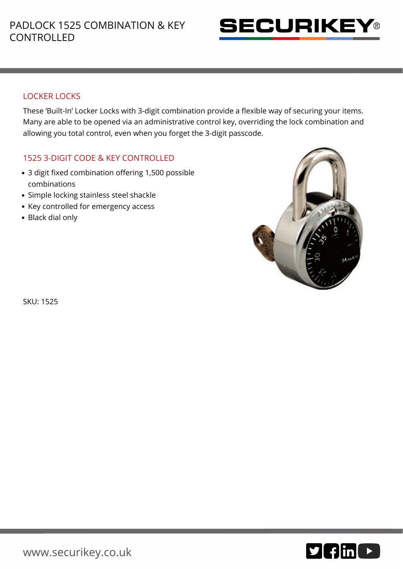

## LOCKER LOCKS

These 'Built-In' Locker Locks with 3-digit combination provide a flexible way of securing your items. Many are able to be opened via an administrative control key, overriding the lock combination and allowing you total control, even when you forget the 3-digit passcode.

## 1525 3-DIGIT CODE & KEY CONTROLLED

- 3 digit fixed combination offering 1,500 possible combinations
- Simple locking stainless steel shackle
- Key controlled for emergency access
- Black dial only



SKU: 1525

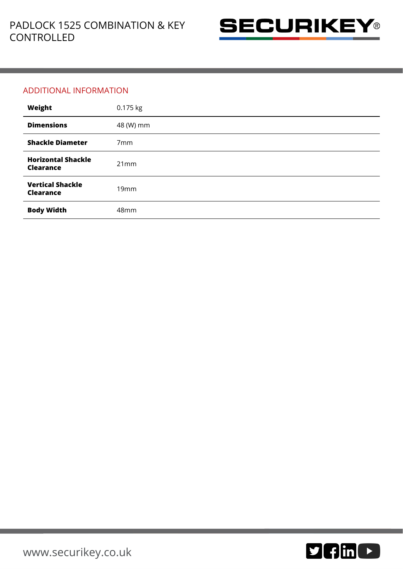

## ADDITIONAL INFORMATION

| Weight                                        | 0.175 kg         |
|-----------------------------------------------|------------------|
| <b>Dimensions</b>                             | 48 (W) mm        |
| <b>Shackle Diameter</b>                       | 7 <sub>mm</sub>  |
| <b>Horizontal Shackle</b><br><b>Clearance</b> | 21mm             |
| <b>Vertical Shackle</b><br><b>Clearance</b>   | 19mm             |
| <b>Body Width</b>                             | 48 <sub>mm</sub> |

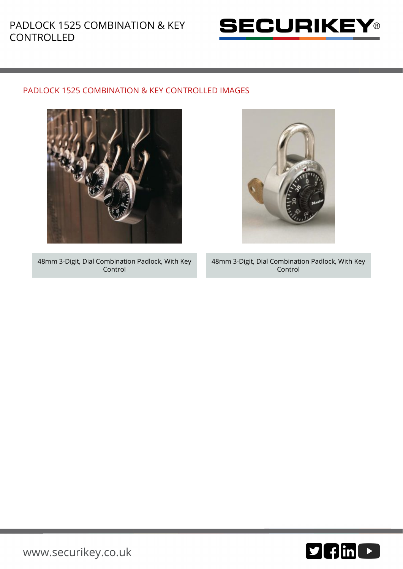

## PADLOCK 1525 COMBINATION & KEY CONTROLLED IMAGES



48mm 3-Digit, Dial Combination Padlock, With Key Control

48mm 3-Digit, Dial Combination Padlock, With Key Control